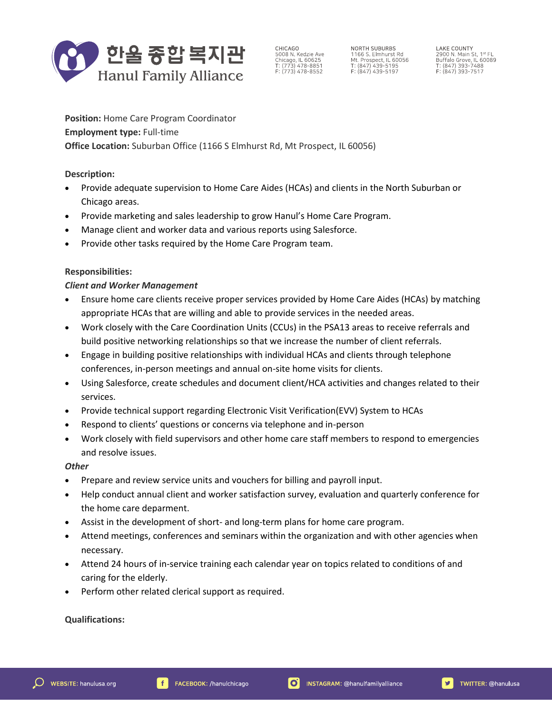

CHICAGO 5008 N. Kedzie Ave<br>Chicago, IL 60625<br>T: (773) 478-8851  $F: (773) 478 - 8552$ 

NORTH SUBURBS NORTH SUBDRES<br>1166 S. Elmhurst Rd<br>Mt. Prospect, ll. 60056<br>T: (847) 439-5195<br>F: (847) 439-5197

**LAKE COUNTY** LANE CUOINT<br>2900 N. Main St, 1st FL<br>Buffalo Grove, IL 60089<br>T: (847) 393-7488<br>F: (847) 393-7517

**Position:** Home Care Program Coordinator **Employment type:** Full-time **Office Location:** Suburban Office (1166 S Elmhurst Rd, Mt Prospect, IL 60056)

**Description:**

- Provide adequate supervision to Home Care Aides (HCAs) and clients in the North Suburban or Chicago areas.
- Provide marketing and sales leadership to grow Hanul's Home Care Program.
- Manage client and worker data and various reports using Salesforce.
- Provide other tasks required by the Home Care Program team.

### **Responsibilities:**

### *Client and Worker Management*

- Ensure home care clients receive proper services provided by Home Care Aides (HCAs) by matching appropriate HCAs that are willing and able to provide services in the needed areas.
- Work closely with the Care Coordination Units (CCUs) in the PSA13 areas to receive referrals and build positive networking relationships so that we increase the number of client referrals.
- Engage in building positive relationships with individual HCAs and clients through telephone conferences, in-person meetings and annual on-site home visits for clients.
- Using Salesforce, create schedules and document client/HCA activities and changes related to their services.
- Provide technical support regarding Electronic Visit Verification(EVV) System to HCAs
- Respond to clients' questions or concerns via telephone and in-person
- Work closely with field supervisors and other home care staff members to respond to emergencies and resolve issues.

#### *Other*

- Prepare and review service units and vouchers for billing and payroll input.
- Help conduct annual client and worker satisfaction survey, evaluation and quarterly conference for the home care deparment.
- Assist in the development of short- and long-term plans for home care program.
- Attend meetings, conferences and seminars within the organization and with other agencies when necessary.
- Attend 24 hours of in-service training each calendar year on topics related to conditions of and caring for the elderly.
- Perform other related clerical support as required.

## **Qualifications:**

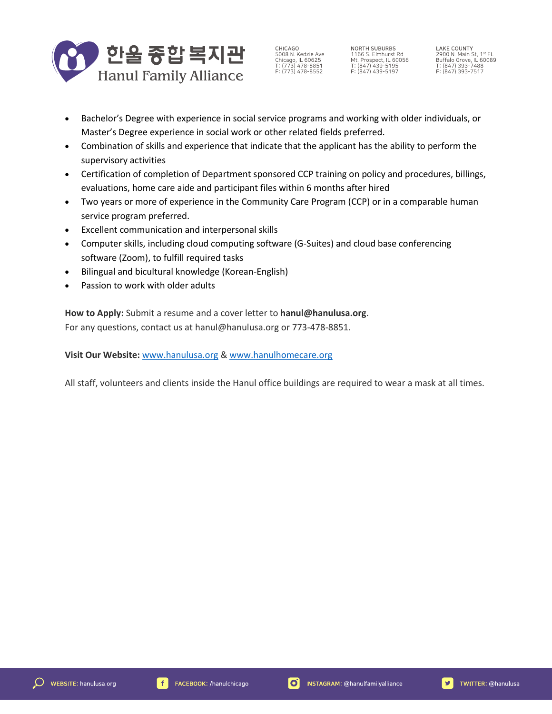

CHICAGO 5008 N. Kedzie Ave<br>Chicago, IL 60625<br>T: (773) 478-8851  $F: (773) 478 - 8552$ 

NORTH SUBURBS 1166 S. Elmhurst Rd<br>Mt. Prospect, IL 60056<br>T: (847) 439-5195  $F: (847) 439 - 5197$ 

**LAKE COUNTY** LANE CUONT<br>
2900 N. Main St, 1<sup>st</sup> FL<br>
Buffalo Grove, IL 60089<br>
T: (847) 393-7488<br>
F: (847) 393-7517

- Bachelor's Degree with experience in social service programs and working with older individuals, or Master's Degree experience in social work or other related fields preferred.
- Combination of skills and experience that indicate that the applicant has the ability to perform the supervisory activities
- Certification of completion of Department sponsored CCP training on policy and procedures, billings, evaluations, home care aide and participant files within 6 months after hired
- Two years or more of experience in the Community Care Program (CCP) or in a comparable human service program preferred.
- Excellent communication and interpersonal skills
- Computer skills, including cloud computing software (G-Suites) and cloud base conferencing software (Zoom), to fulfill required tasks
- Bilingual and bicultural knowledge (Korean-English)
- Passion to work with older adults

**How to Apply:** Submit a resume and a cover letter to **hanul@hanulusa.org**. For any questions, contact us at hanul@hanulusa.org or 773-478-8851.

**Visit Our Website:** [www.hanulusa.org](http://www.hanulusa.org/) [& www.hanulhomecare.org](http://www.hanulhomecare.org/)

All staff, volunteers and clients inside the Hanul office buildings are required to wear a mask at all times.